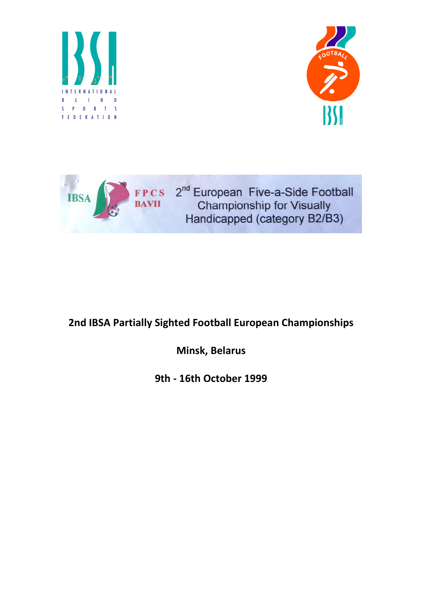





## 2nd IBSA Partially Sighted Football European Championships

Minsk, Belarus

9th - 16th October 1999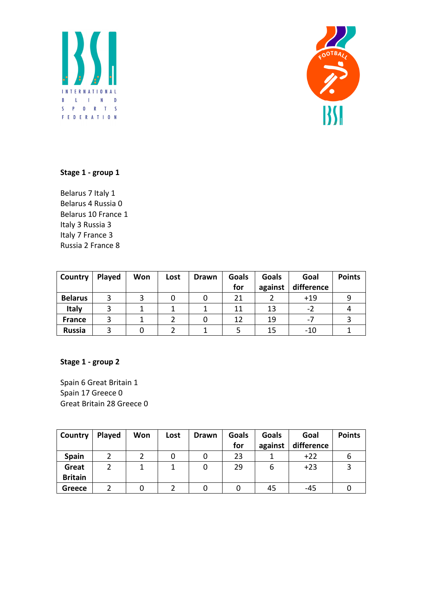



## Stage 1 - group 1

Belarus 7 Italy 1 Belarus 4 Russia 0 Belarus 10 France 1 Italy 3 Russia 3 Italy 7 France 3 Russia 2 France 8

| Country        | Played | Won | Lost | Drawn | <b>Goals</b> | <b>Goals</b> | Goal       | <b>Points</b> |
|----------------|--------|-----|------|-------|--------------|--------------|------------|---------------|
|                |        |     |      |       | for          | against      | difference |               |
| <b>Belarus</b> |        |     |      |       | 21           |              | $+19$      |               |
| <b>Italy</b>   |        |     |      |       | 11           | 13           | $-2$       |               |
| <b>France</b>  |        |     |      |       | 12           | 19           | $-7$       |               |
| <b>Russia</b>  |        |     |      |       |              | 15           | $-10$      |               |

## Stage 1 - group 2

Spain 6 Great Britain 1 Spain 17 Greece 0 Great Britain 28 Greece 0

| Country        | Played | Won | Lost | <b>Drawn</b> | <b>Goals</b><br>for | <b>Goals</b><br>against | Goal<br>difference | <b>Points</b> |
|----------------|--------|-----|------|--------------|---------------------|-------------------------|--------------------|---------------|
| Spain          |        |     |      |              | 23                  |                         | $+22$              | O             |
| Great          |        |     |      |              | 29                  | ь                       | $+23$              |               |
| <b>Britain</b> |        |     |      |              |                     |                         |                    |               |
| Greece         |        |     |      |              |                     | 45                      | -45                |               |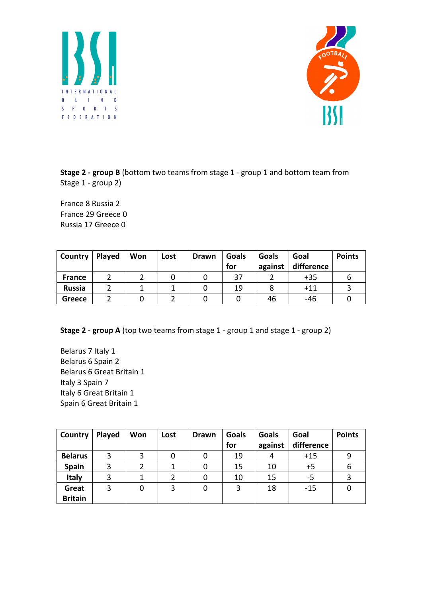



Stage 2 - group B (bottom two teams from stage 1 - group 1 and bottom team from Stage 1 - group 2)

France 8 Russia 2 France 29 Greece 0 Russia 17 Greece 0

| Country       | Played | Won | Lost | <b>Drawn</b> | <b>Goals</b><br>for | Goals<br>against | Goal<br>difference | <b>Points</b> |
|---------------|--------|-----|------|--------------|---------------------|------------------|--------------------|---------------|
| <b>France</b> |        |     |      |              | 37                  |                  | $+35$              |               |
| <b>Russia</b> |        |     |      |              | 19                  |                  | $+11$              |               |
| <b>Greece</b> |        |     |      |              |                     | 46               | -46                |               |

Stage 2 - group A (top two teams from stage 1 - group 1 and stage 1 - group 2)

Belarus 7 Italy 1 Belarus 6 Spain 2 Belarus 6 Great Britain 1 Italy 3 Spain 7 Italy 6 Great Britain 1 Spain 6 Great Britain 1

| Country        | Played | Won | Lost | <b>Drawn</b> | Goals | <b>Goals</b> | Goal       | <b>Points</b> |
|----------------|--------|-----|------|--------------|-------|--------------|------------|---------------|
|                |        |     |      |              | for   | against      | difference |               |
| <b>Belarus</b> | 3      |     |      |              | 19    | 4            | $+15$      | 9             |
| Spain          | 3      |     |      |              | 15    | 10           | $+5$       | 6             |
| <b>Italy</b>   | 3      |     | າ    |              | 10    | 15           | -5         |               |
| Great          | 3      | 0   | 3    |              | 3     | 18           | $-15$      |               |
| <b>Britain</b> |        |     |      |              |       |              |            |               |